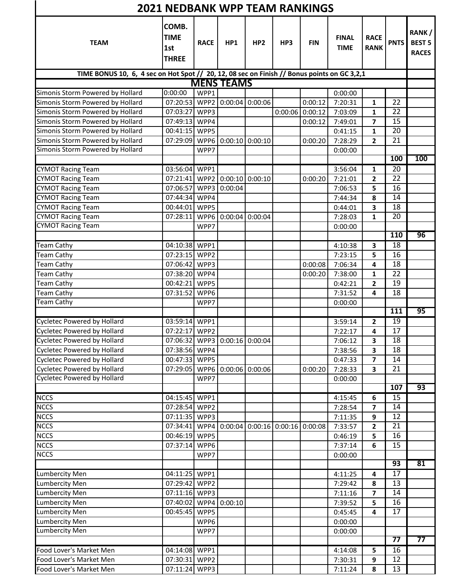| <b>2021 NEDBANK WPP TEAM RANKINGS</b>                                                       |                                             |                  |                      |                 |                                                                 |            |                             |                            |                 |                                        |  |
|---------------------------------------------------------------------------------------------|---------------------------------------------|------------------|----------------------|-----------------|-----------------------------------------------------------------|------------|-----------------------------|----------------------------|-----------------|----------------------------------------|--|
| <b>TEAM</b>                                                                                 | COMB.<br><b>TIME</b><br>1st<br><b>THREE</b> | <b>RACE</b>      | HP1                  | HP <sub>2</sub> | HP3                                                             | <b>FIN</b> | <b>FINAL</b><br><b>TIME</b> | <b>RACE</b><br><b>RANK</b> | <b>PNTS</b>     | RANK/<br><b>BEST 5</b><br><b>RACES</b> |  |
| TIME BONUS 10, 6, 4 sec on Hot Spot // 20, 12, 08 sec on Finish // Bonus points on GC 3,2,1 |                                             |                  |                      |                 |                                                                 |            |                             |                            |                 |                                        |  |
|                                                                                             |                                             |                  | <b>MENS TEAMS</b>    |                 |                                                                 |            |                             |                            |                 |                                        |  |
| Simonis Storm Powered by Hollard                                                            | 0:00:00                                     | WPP <sub>1</sub> |                      |                 |                                                                 |            | 0:00:00                     |                            |                 |                                        |  |
| Simonis Storm Powered by Hollard                                                            | 07:20:53 WPP2                               |                  | 0:00:04              | 0:00:06         |                                                                 | 0:00:12    | 7:20:31                     | 1                          | 22              |                                        |  |
| Simonis Storm Powered by Hollard                                                            | 07:03:27 WPP3                               |                  |                      |                 | 0:00:06                                                         | 0:00:12    | 7:03:09                     | 1                          | 22<br>15        |                                        |  |
| Simonis Storm Powered by Hollard<br>Simonis Storm Powered by Hollard                        | 07:49:13 WPP4<br>00:41:15 WPP5              |                  |                      |                 |                                                                 | 0:00:12    | 7:49:01<br>0:41:15          | 7<br>1                     | 20              |                                        |  |
| Simonis Storm Powered by Hollard                                                            | 07:29:09                                    |                  | WPP6 0:00:10 0:00:10 |                 |                                                                 | 0:00:20    | 7:28:29                     | 2                          | 21              |                                        |  |
| Simonis Storm Powered by Hollard                                                            |                                             | WPP7             |                      |                 |                                                                 |            | 0:00:00                     |                            |                 |                                        |  |
|                                                                                             |                                             |                  |                      |                 |                                                                 |            |                             |                            | 100             | 100                                    |  |
| <b>CYMOT Racing Team</b>                                                                    | 03:56:04                                    | WPP1             |                      |                 |                                                                 |            | 3:56:04                     | 1                          | $\overline{20}$ |                                        |  |
| <b>CYMOT Racing Team</b>                                                                    | 07:21:41                                    |                  | WPP2 0:00:10 0:00:10 |                 |                                                                 | 0:00:20    | 7:21:01                     | 2                          | 22              |                                        |  |
| <b>CYMOT Racing Team</b>                                                                    | 07:06:57 WPP3                               |                  | 0:00:04              |                 |                                                                 |            | 7:06:53                     | 5                          | 16              |                                        |  |
| <b>CYMOT Racing Team</b>                                                                    | 07:44:34                                    | WPP4             |                      |                 |                                                                 |            | 7:44:34                     | 8                          | 14              |                                        |  |
| <b>CYMOT Racing Team</b>                                                                    | 00:44:01 WPP5                               |                  |                      |                 |                                                                 |            | 0:44:01                     | 3                          | 18              |                                        |  |
| <b>CYMOT Racing Team</b>                                                                    | 07:28:11                                    |                  | WPP6 0:00:04 0:00:04 |                 |                                                                 |            | 7:28:03                     | 1                          | 20              |                                        |  |
| <b>CYMOT Racing Team</b>                                                                    |                                             | WPP7             |                      |                 |                                                                 |            | 0:00:00                     |                            |                 |                                        |  |
|                                                                                             |                                             |                  |                      |                 |                                                                 |            |                             |                            | 110             | 96                                     |  |
| <b>Team Cathy</b>                                                                           | 04:10:38                                    | WPP1             |                      |                 |                                                                 |            | 4:10:38                     | 3                          | 18              |                                        |  |
| <b>Team Cathy</b>                                                                           | 07:23:15 WPP2                               |                  |                      |                 |                                                                 |            | 7:23:15                     | 5                          | 16              |                                        |  |
| <b>Team Cathy</b>                                                                           | 07:06:42                                    | WPP3             |                      |                 |                                                                 | 0:00:08    | 7:06:34                     | 4                          | 18              |                                        |  |
| <b>Team Cathy</b>                                                                           | 07:38:20 WPP4                               |                  |                      |                 |                                                                 | 0:00:20    | 7:38:00                     | 1                          | 22              |                                        |  |
| <b>Team Cathy</b>                                                                           | 00:42:21                                    | WPP5             |                      |                 |                                                                 |            | 0:42:21                     | $\overline{2}$             | 19              |                                        |  |
| <b>Team Cathy</b><br><b>Team Cathy</b>                                                      | 07:31:52                                    | WPP6             |                      |                 |                                                                 |            | 7:31:52                     | 4                          | 18              |                                        |  |
|                                                                                             |                                             | WPP7             |                      |                 |                                                                 |            | 0:00:00                     |                            | 111             | 95                                     |  |
| <b>Cycletec Powered by Hollard</b>                                                          | 03:59:14 WPP1                               |                  |                      |                 |                                                                 |            | 3:59:14                     | 2                          | 19              |                                        |  |
| Cycletec Powered by Hollard                                                                 | 07:22:17 WPP2                               |                  |                      |                 |                                                                 |            | 7:22:17                     | 4                          | 17              |                                        |  |
| <b>Cycletec Powered by Hollard</b>                                                          | 07:06:32 WPP3 0:00:16 0:00:04               |                  |                      |                 |                                                                 |            | 7:06:12                     | 3                          | 18              |                                        |  |
| Cycletec Powered by Hollard                                                                 | 07:38:56 WPP4                               |                  |                      |                 |                                                                 |            | 7:38:56                     | 3                          | 18              |                                        |  |
| <b>Cycletec Powered by Hollard</b>                                                          | 00:47:33 WPP5                               |                  |                      |                 |                                                                 |            | 0:47:33                     | 7                          | 14              |                                        |  |
| <b>Cycletec Powered by Hollard</b>                                                          | 07:29:05                                    |                  | WPP6 0:00:06 0:00:06 |                 |                                                                 | 0:00:20    | 7:28:33                     | 3                          | 21              |                                        |  |
| <b>Cycletec Powered by Hollard</b>                                                          |                                             | WPP7             |                      |                 |                                                                 |            | 0:00:00                     |                            |                 |                                        |  |
|                                                                                             |                                             |                  |                      |                 |                                                                 |            |                             |                            | 107             | 93                                     |  |
| <b>NCCS</b>                                                                                 | 04:15:45 WPP1                               |                  |                      |                 |                                                                 |            | 4:15:45                     | 6                          | 15              |                                        |  |
| <b>NCCS</b>                                                                                 | 07:28:54                                    | WPP2             |                      |                 |                                                                 |            | 7:28:54                     | 7                          | 14              |                                        |  |
| <b>NCCS</b>                                                                                 | 07:11:35                                    | WPP3             |                      |                 |                                                                 |            | 7:11:35                     | 9                          | 12              |                                        |  |
| <b>NCCS</b>                                                                                 | 07:34:41                                    | WPP4             |                      |                 | $\vert 0.00.04 \vert 0.00.16 \vert 0.00.16 \vert 0.00.08 \vert$ |            | 7:33:57                     | 2                          | 21              |                                        |  |
| <b>NCCS</b>                                                                                 | 00:46:19                                    | WPP5             |                      |                 |                                                                 |            | 0:46:19                     | 5                          | 16              |                                        |  |
| <b>NCCS</b><br><b>NCCS</b>                                                                  | 07:37:14                                    | WPP6<br>WPP7     |                      |                 |                                                                 |            | 7:37:14<br>0:00:00          | 6                          | 15              |                                        |  |
|                                                                                             |                                             |                  |                      |                 |                                                                 |            |                             |                            | $\overline{93}$ | 81                                     |  |
| <b>Lumbercity Men</b>                                                                       | 04:11:25 WPP1                               |                  |                      |                 |                                                                 |            | 4:11:25                     | 4                          | 17              |                                        |  |
| <b>Lumbercity Men</b>                                                                       | 07:29:42 WPP2                               |                  |                      |                 |                                                                 |            | 7:29:42                     | 8                          | 13              |                                        |  |
| <b>Lumbercity Men</b>                                                                       | 07:11:16 WPP3                               |                  |                      |                 |                                                                 |            | 7:11:16                     | 7                          | 14              |                                        |  |
| <b>Lumbercity Men</b>                                                                       | 07:40:02 WPP4                               |                  | 0:00:10              |                 |                                                                 |            | 7:39:52                     | 5                          | 16              |                                        |  |
| <b>Lumbercity Men</b>                                                                       | 00:45:45                                    | WPP5             |                      |                 |                                                                 |            | 0:45:45                     | 4                          | 17              |                                        |  |
| <b>Lumbercity Men</b>                                                                       |                                             | WPP6             |                      |                 |                                                                 |            | 0:00:00                     |                            |                 |                                        |  |
| <b>Lumbercity Men</b>                                                                       |                                             | WPP7             |                      |                 |                                                                 |            | 0:00:00                     |                            |                 |                                        |  |
|                                                                                             |                                             |                  |                      |                 |                                                                 |            |                             |                            | 77              | 77                                     |  |
| Food Lover's Market Men                                                                     | 04:14:08 WPP1                               |                  |                      |                 |                                                                 |            | 4:14:08                     | 5                          | 16              |                                        |  |
| Food Lover's Market Men                                                                     | 07:30:31 WPP2                               |                  |                      |                 |                                                                 |            | 7:30:31                     | 9                          | 12              |                                        |  |
| Food Lover's Market Men                                                                     | 07:11:24 WPP3                               |                  |                      |                 |                                                                 |            | 7:11:24                     | 8                          | 13              |                                        |  |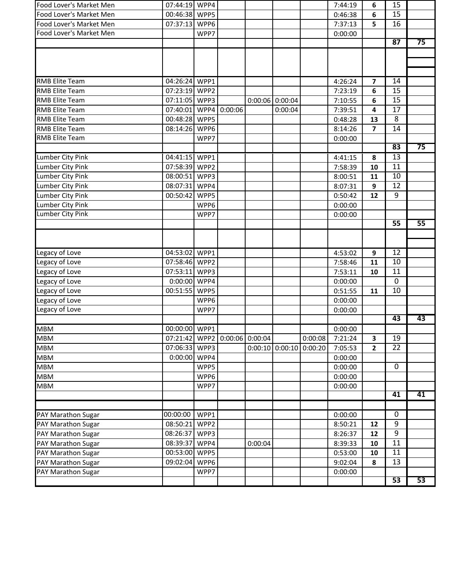| Food Lover's Market Men | 07:44:19 WPP4 |      |         |                   |                   |         | 7:44:19 | 6              | 15              |    |
|-------------------------|---------------|------|---------|-------------------|-------------------|---------|---------|----------------|-----------------|----|
| Food Lover's Market Men | 00:46:38 WPP5 |      |         |                   |                   |         | 0:46:38 | 6              | 15              |    |
| Food Lover's Market Men | 07:37:13      | WPP6 |         |                   |                   |         | 7:37:13 | 5              | 16              |    |
| Food Lover's Market Men |               | WPP7 |         |                   |                   |         | 0:00:00 |                |                 |    |
|                         |               |      |         |                   |                   |         |         |                | 87              | 75 |
|                         |               |      |         |                   |                   |         |         |                |                 |    |
|                         |               |      |         |                   |                   |         |         |                |                 |    |
|                         |               |      |         |                   |                   |         |         |                |                 |    |
| RMB Elite Team          | 04:26:24      | WPP1 |         |                   |                   |         | 4:26:24 | $\overline{ }$ | 14              |    |
| RMB Elite Team          | 07:23:19      | WPP2 |         |                   |                   |         | 7:23:19 | 6              | 15              |    |
| <b>RMB Elite Team</b>   | 07:11:05 WPP3 |      |         | 0:00:06           | 0:00:04           |         | 7:10:55 | 6              | 15              |    |
| <b>RMB Elite Team</b>   | 07:40:01 WPP4 |      | 0:00:06 |                   | 0:00:04           |         | 7:39:51 | 4              | 17              |    |
| <b>RMB Elite Team</b>   | 00:48:28      | WPP5 |         |                   |                   |         | 0:48:28 | 13             | 8               |    |
| <b>RMB Elite Team</b>   | 08:14:26      | WPP6 |         |                   |                   |         | 8:14:26 | 7              | 14              |    |
| RMB Elite Team          |               | WPP7 |         |                   |                   |         | 0:00:00 |                |                 |    |
|                         |               |      |         |                   |                   |         |         |                | 83              | 75 |
| Lumber City Pink        | 04:41:15      | WPP1 |         |                   |                   |         | 4:41:15 | 8              | $\overline{13}$ |    |
| Lumber City Pink        | 07:58:39      | WPP2 |         |                   |                   |         | 7:58:39 | 10             | 11              |    |
| Lumber City Pink        | 08:00:51      | WPP3 |         |                   |                   |         | 8:00:51 | 11             | 10              |    |
| Lumber City Pink        | 08:07:31      | WPP4 |         |                   |                   |         | 8:07:31 | 9              | 12              |    |
| Lumber City Pink        | 00:50:42      | WPP5 |         |                   |                   |         | 0:50:42 | 12             | 9               |    |
| Lumber City Pink        |               | WPP6 |         |                   |                   |         | 0:00:00 |                |                 |    |
| <b>Lumber City Pink</b> |               | WPP7 |         |                   |                   |         | 0:00:00 |                |                 |    |
|                         |               |      |         |                   |                   |         |         |                | 55              | 55 |
|                         |               |      |         |                   |                   |         |         |                |                 |    |
|                         |               |      |         |                   |                   |         |         |                |                 |    |
| Legacy of Love          | 04:53:02      | WPP1 |         |                   |                   |         | 4:53:02 | 9              | $\overline{12}$ |    |
| Legacy of Love          | 07:58:46 WPP2 |      |         |                   |                   |         | 7:58:46 | 11             | 10              |    |
| Legacy of Love          | 07:53:11      | WPP3 |         |                   |                   |         | 7:53:11 | 10             | 11              |    |
| Legacy of Love          | 0:00:00       | WPP4 |         |                   |                   |         | 0:00:00 |                | $\mathbf 0$     |    |
| Legacy of Love          | 00:51:55      | WPP5 |         |                   |                   |         | 0:51:55 | 11             | 10              |    |
| Legacy of Love          |               | WPP6 |         |                   |                   |         | 0:00:00 |                |                 |    |
| Legacy of Love          |               | WPP7 |         |                   |                   |         | 0:00:00 |                |                 |    |
|                         |               |      |         |                   |                   |         |         |                | 43              | 43 |
| <b>MBM</b>              | 00:00:00 WPP1 |      |         |                   |                   |         | 0:00:00 |                |                 |    |
| <b>MBM</b>              | 07:21:42      | WPP2 |         | $0:00:06$ 0:00:04 |                   | 0:00:08 | 7:21:24 | 3              | 19              |    |
| <b>MBM</b>              | 07:06:33      | WPP3 |         |                   | $0:00:10$ 0:00:10 | 0:00:20 | 7:05:53 | $\mathbf{2}$   | 22              |    |
| <b>MBM</b>              | 0:00:00       | WPP4 |         |                   |                   |         | 0:00:00 |                |                 |    |
| <b>MBM</b>              |               | WPP5 |         |                   |                   |         | 0:00:00 |                | $\mathbf 0$     |    |
| <b>MBM</b>              |               | WPP6 |         |                   |                   |         | 0:00:00 |                |                 |    |
| <b>MBM</b>              |               | WPP7 |         |                   |                   |         | 0:00:00 |                |                 |    |
|                         |               |      |         |                   |                   |         |         |                | 41              | 41 |
|                         |               |      |         |                   |                   |         |         |                |                 |    |
| PAY Marathon Sugar      | 00:00:00      | WPP1 |         |                   |                   |         | 0:00:00 |                | $\mathbf 0$     |    |
| PAY Marathon Sugar      | 08:50:21      | WPP2 |         |                   |                   |         | 8:50:21 | 12             | $\overline{9}$  |    |
| PAY Marathon Sugar      | 08:26:37      | WPP3 |         |                   |                   |         | 8:26:37 | 12             | 9               |    |
| PAY Marathon Sugar      | 08:39:37      | WPP4 |         | 0:00:04           |                   |         | 8:39:33 | 10             | 11              |    |
| PAY Marathon Sugar      | 00:53:00      | WPP5 |         |                   |                   |         | 0:53:00 | 10             | 11              |    |
| PAY Marathon Sugar      | 09:02:04      | WPP6 |         |                   |                   |         | 9:02:04 | 8              | 13              |    |
| PAY Marathon Sugar      |               | WPP7 |         |                   |                   |         | 0:00:00 |                |                 |    |
|                         |               |      |         |                   |                   |         |         |                | 53              | 53 |
|                         |               |      |         |                   |                   |         |         |                |                 |    |